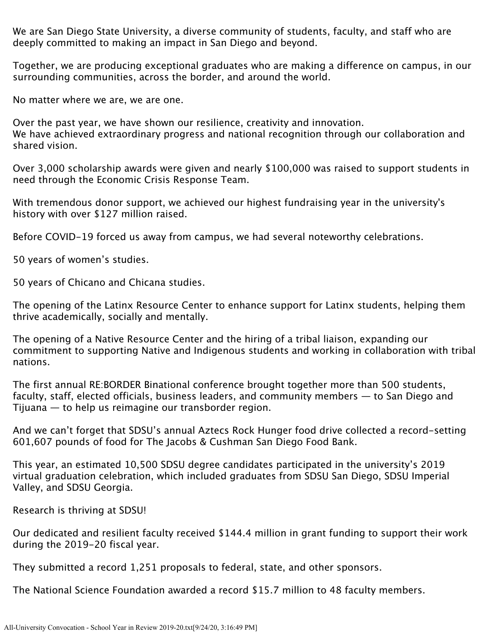We are San Diego State University, a diverse community of students, faculty, and staff who are deeply committed to making an impact in San Diego and beyond.

Together, we are producing exceptional graduates who are making a difference on campus, in our surrounding communities, across the border, and around the world.

No matter where we are, we are one.

Over the past year, we have shown our resilience, creativity and innovation. We have achieved extraordinary progress and national recognition through our collaboration and shared vision.

Over 3,000 scholarship awards were given and nearly \$100,000 was raised to support students in need through the Economic Crisis Response Team.

With tremendous donor support, we achieved our highest fundraising year in the university's history with over \$127 million raised.

Before COVID-19 forced us away from campus, we had several noteworthy celebrations.

50 years of women's studies.

50 years of Chicano and Chicana studies.

The opening of the Latinx Resource Center to enhance support for Latinx students, helping them thrive academically, socially and mentally.

The opening of a Native Resource Center and the hiring of a tribal liaison, expanding our commitment to supporting Native and Indigenous students and working in collaboration with tribal nations.

The first annual RE:BORDER Binational conference brought together more than 500 students, faculty, staff, elected officials, business leaders, and community members — to San Diego and Tijuana — to help us reimagine our transborder region.

And we can't forget that SDSU's annual Aztecs Rock Hunger food drive collected a record-setting 601,607 pounds of food for The Jacobs & Cushman San Diego Food Bank.

This year, an estimated 10,500 SDSU degree candidates participated in the university's 2019 virtual graduation celebration, which included graduates from SDSU San Diego, SDSU Imperial Valley, and SDSU Georgia.

Research is thriving at SDSU!

Our dedicated and resilient faculty received \$144.4 million in grant funding to support their work during the 2019-20 fiscal year.

They submitted a record 1,251 proposals to federal, state, and other sponsors.

The National Science Foundation awarded a record \$15.7 million to 48 faculty members.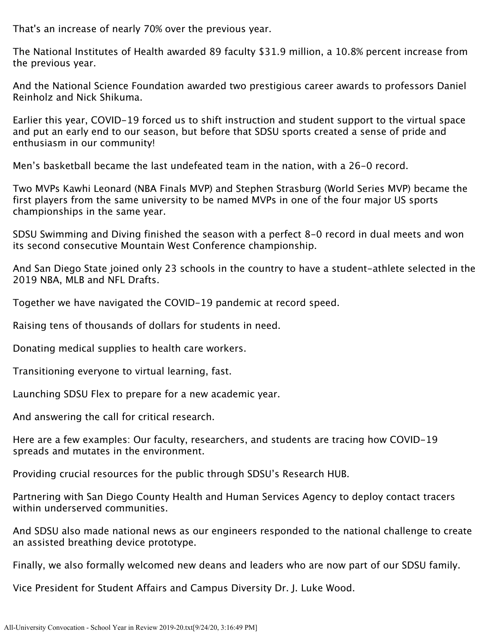That's an increase of nearly 70% over the previous year.

The National Institutes of Health awarded 89 faculty \$31.9 million, a 10.8% percent increase from the previous year.

And the National Science Foundation awarded two prestigious career awards to professors Daniel Reinholz and Nick Shikuma.

Earlier this year, COVID-19 forced us to shift instruction and student support to the virtual space and put an early end to our season, but before that SDSU sports created a sense of pride and enthusiasm in our community!

Men's basketball became the last undefeated team in the nation, with a 26-0 record.

Two MVPs Kawhi Leonard (NBA Finals MVP) and Stephen Strasburg (World Series MVP) became the first players from the same university to be named MVPs in one of the four major US sports championships in the same year.

SDSU Swimming and Diving finished the season with a perfect 8-0 record in dual meets and won its second consecutive Mountain West Conference championship.

And San Diego State joined only 23 schools in the country to have a student-athlete selected in the 2019 NBA, MLB and NFL Drafts.

Together we have navigated the COVID-19 pandemic at record speed.

Raising tens of thousands of dollars for students in need.

Donating medical supplies to health care workers.

Transitioning everyone to virtual learning, fast.

Launching SDSU Flex to prepare for a new academic year.

And answering the call for critical research.

Here are a few examples: Our faculty, researchers, and students are tracing how COVID-19 spreads and mutates in the environment.

Providing crucial resources for the public through SDSU's Research HUB.

Partnering with San Diego County Health and Human Services Agency to deploy contact tracers within underserved communities.

And SDSU also made national news as our engineers responded to the national challenge to create an assisted breathing device prototype.

Finally, we also formally welcomed new deans and leaders who are now part of our SDSU family.

Vice President for Student Affairs and Campus Diversity Dr. J. Luke Wood.